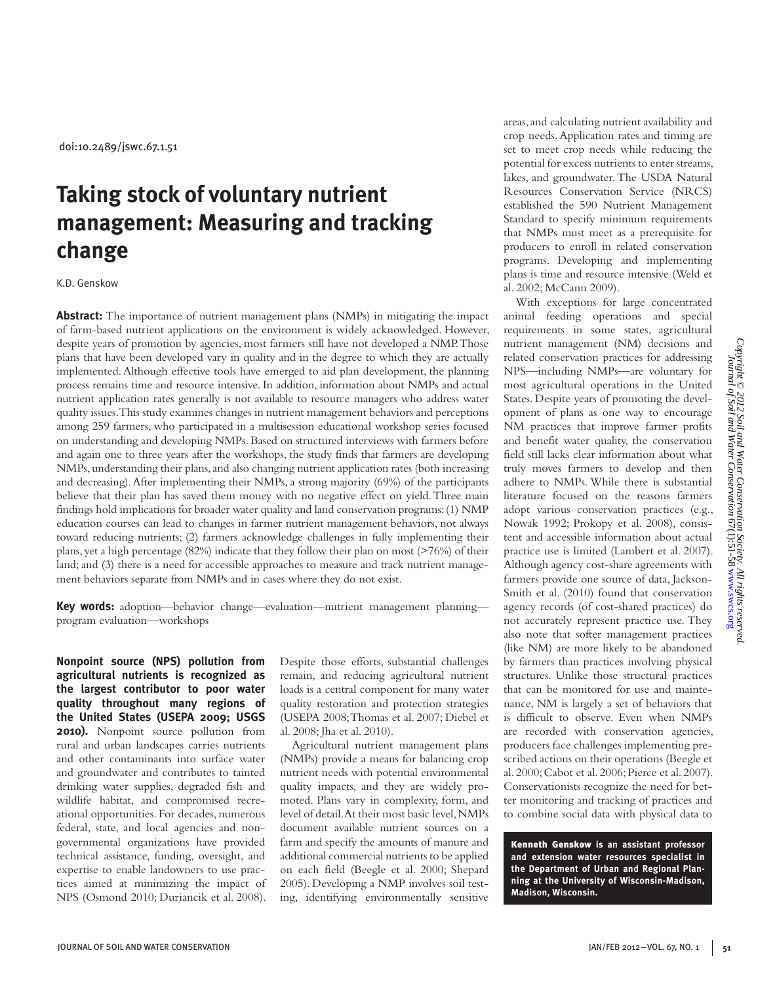doi:10.2489/jswc.67.1.51

# **Taking stock of voluntary nutrient management: Measuring and tracking change**

K.D. Genskow

**Abstract:** The importance of nutrient management plans (NMPs) in mitigating the impact of farm-based nutrient applications on the environment is widely acknowledged. However, despite years of promotion by agencies, most farmers still have not developed a NMP. Those plans that have been developed vary in quality and in the degree to which they are actually implemented. Although effective tools have emerged to aid plan development, the planning process remains time and resource intensive. In addition, information about NMPs and actual nutrient application rates generally is not available to resource managers who address water quality issues. This study examines changes in nutrient management behaviors and perceptions among 259 farmers, who participated in a multisession educational workshop series focused on understanding and developing NMPs. Based on structured interviews with farmers before and again one to three years after the workshops, the study finds that farmers are developing NMPs, understanding their plans, and also changing nutrient application rates (both increasing and decreasing). After implementing their NMPs, a strong majority (69%) of the participants believe that their plan has saved them money with no negative effect on yield. Three main findings hold implications for broader water quality and land conservation programs: (1) NMP education courses can lead to changes in farmer nutrient management behaviors, not always toward reducing nutrients; (2) farmers acknowledge challenges in fully implementing their plans, yet a high percentage (82%) indicate that they follow their plan on most (>76%) of their land; and (3) there is a need for accessible approaches to measure and track nutrient management behaviors separate from NMPs and in cases where they do not exist.

**Key words:** adoption—behavior change—evaluation—nutrient management planning program evaluation—workshops

**Nonpoint source (NPS) pollution from agricultural nutrients is recognized as the largest contributor to poor water quality throughout many regions of the United States (USEPA 2009; USGS 2010).** Nonpoint source pollution from rural and urban landscapes carries nutrients and other contaminants into surface water and groundwater and contributes to tainted drinking water supplies, degraded fish and wildlife habitat, and compromised recreational opportunities. For decades, numerous federal, state, and local agencies and nongovernmental organizations have provided technical assistance, funding, oversight, and expertise to enable landowners to use practices aimed at minimizing the impact of NPS (Osmond 2010; Duriancik et al. 2008). Despite those efforts, substantial challenges remain, and reducing agricultural nutrient loads is a central component for many water quality restoration and protection strategies (USEPA 2008; Thomas et al. 2007; Diebel et al. 2008; Jha et al. 2010).

Agricultural nutrient management plans (NMPs) provide a means for balancing crop nutrient needs with potential environmental quality impacts, and they are widely promoted. Plans vary in complexity, form, and level of detail. At their most basic level, NMPs document available nutrient sources on a farm and specify the amounts of manure and additional commercial nutrients to be applied on each field (Beegle et al. 2000; Shepard 2005). Developing a NMP involves soil testing, identifying environmentally sensitive areas, and calculating nutrient availability and crop needs. Application rates and timing are set to meet crop needs while reducing the potential for excess nutrients to enter streams, lakes, and groundwater. The USDA Natural Resources Conservation Service (NRCS) established the 590 Nutrient Management Standard to specify minimum requirements that NMPs must meet as a prerequisite for producers to enroll in related conservation programs. Developing and implementing plans is time and resource intensive (Weld et al. 2002; McCann 2009).

With exceptions for large concentrated animal feeding operations and special requirements in some states, agricultural nutrient management (NM) decisions and related conservation practices for addressing NPS—including NMPs—are voluntary for most agricultural operations in the United States. Despite years of promoting the development of plans as one way to encourage NM practices that improve farmer profits and benefit water quality, the conservation field still lacks clear information about what truly moves farmers to develop and then adhere to NMPs. While there is substantial literature focused on the reasons farmers adopt various conservation practices (e.g., Nowak 1992; Prokopy et al. 2008), consistent and accessible information about actual practice use is limited (Lambert et al. 2007). Although agency cost-share agreements with farmers provide one source of data, Jackson-Smith et al. (2010) found that conservation agency records (of cost-shared practices) do not accurately represent practice use. They also note that softer management practices (like NM) are more likely to be abandoned by farmers than practices involving physical structures. Unlike those structural practices that can be monitored for use and maintenance, NM is largely a set of behaviors that is difficult to observe. Even when NMPs are recorded with conservation agencies, producers face challenges implementing prescribed actions on their operations (Beegle et al. 2000; Cabot et al. 2006; Pierce et al. 2007). Conservationists recognize the need for better monitoring and tracking of practices and to combine social data with physical data to

Kenneth Genskow **is an assistant professor and extension water resources specialist in the Department of Urban and Regional Planning at the University of Wisconsin-Madison, Madison, Wisconsin.**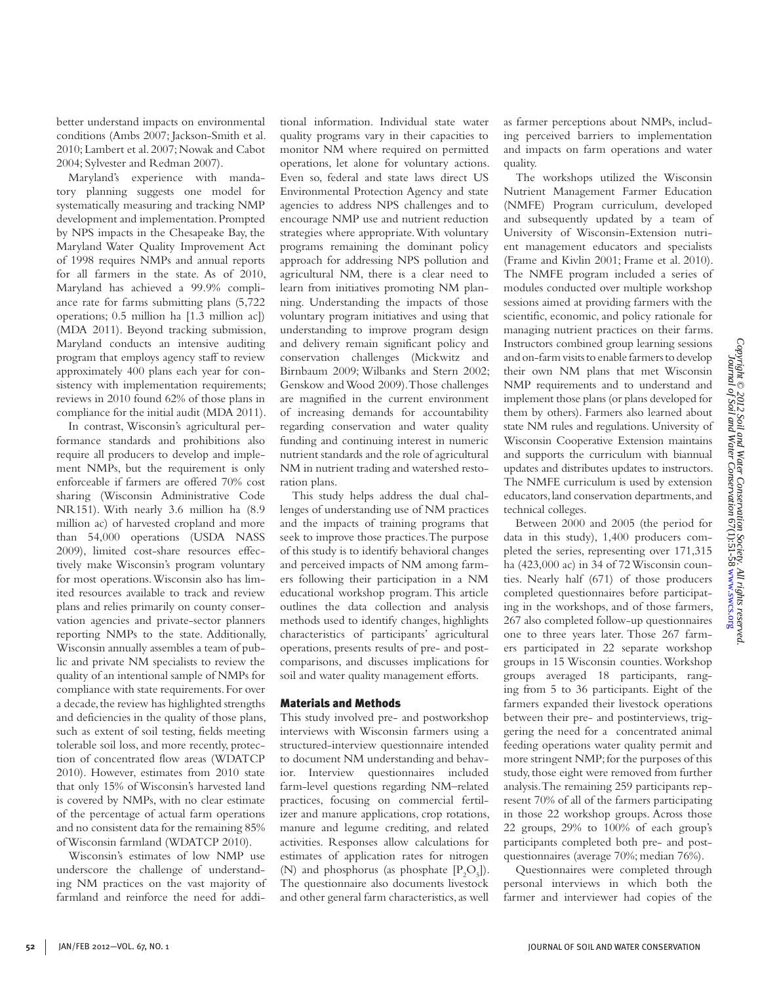better understand impacts on environmental conditions (Ambs 2007; Jackson-Smith et al. 2010; Lambert et al. 2007; Nowak and Cabot 2004; Sylvester and Redman 2007).

Maryland's experience with mandatory planning suggests one model for systematically measuring and tracking NMP development and implementation. Prompted by NPS impacts in the Chesapeake Bay, the Maryland Water Quality Improvement Act of 1998 requires NMPs and annual reports for all farmers in the state. As of 2010, Maryland has achieved a 99.9% compliance rate for farms submitting plans (5,722 operations; 0.5 million ha [1.3 million ac]) (MDA 2011). Beyond tracking submission, Maryland conducts an intensive auditing program that employs agency staff to review approximately 400 plans each year for consistency with implementation requirements; reviews in 2010 found 62% of those plans in compliance for the initial audit (MDA 2011).

In contrast, Wisconsin's agricultural performance standards and prohibitions also require all producers to develop and implement NMPs, but the requirement is only enforceable if farmers are offered 70% cost sharing (Wisconsin Administrative Code NR151). With nearly 3.6 million ha (8.9 million ac) of harvested cropland and more than 54,000 operations (USDA NASS 2009), limited cost-share resources effectively make Wisconsin's program voluntary for most operations. Wisconsin also has limited resources available to track and review plans and relies primarily on county conservation agencies and private-sector planners reporting NMPs to the state. Additionally, Wisconsin annually assembles a team of public and private NM specialists to review the quality of an intentional sample of NMPs for compliance with state requirements. For over a decade, the review has highlighted strengths and deficiencies in the quality of those plans, such as extent of soil testing, fields meeting tolerable soil loss, and more recently, protection of concentrated flow areas (WDATCP 2010). However, estimates from 2010 state that only 15% of Wisconsin's harvested land is covered by NMPs, with no clear estimate of the percentage of actual farm operations and no consistent data for the remaining 85% of Wisconsin farmland (WDATCP 2010).

Wisconsin's estimates of low NMP use underscore the challenge of understanding NM practices on the vast majority of farmland and reinforce the need for additional information. Individual state water quality programs vary in their capacities to monitor NM where required on permitted operations, let alone for voluntary actions. Even so, federal and state laws direct US Environmental Protection Agency and state agencies to address NPS challenges and to encourage NMP use and nutrient reduction strategies where appropriate. With voluntary programs remaining the dominant policy approach for addressing NPS pollution and agricultural NM, there is a clear need to learn from initiatives promoting NM planning. Understanding the impacts of those voluntary program initiatives and using that understanding to improve program design and delivery remain significant policy and conservation challenges (Mickwitz and Birnbaum 2009; Wilbanks and Stern 2002; Genskow and Wood 2009). Those challenges are magnified in the current environment of increasing demands for accountability regarding conservation and water quality funding and continuing interest in numeric nutrient standards and the role of agricultural NM in nutrient trading and watershed restoration plans.

This study helps address the dual challenges of understanding use of NM practices and the impacts of training programs that seek to improve those practices. The purpose of this study is to identify behavioral changes and perceived impacts of NM among farmers following their participation in a NM educational workshop program. This article outlines the data collection and analysis methods used to identify changes, highlights characteristics of participants' agricultural operations, presents results of pre- and postcomparisons, and discusses implications for soil and water quality management efforts.

### Materials and Methods

This study involved pre- and postworkshop interviews with Wisconsin farmers using a structured-interview questionnaire intended to document NM understanding and behavior. Interview questionnaires included farm-level questions regarding NM–related practices, focusing on commercial fertilizer and manure applications, crop rotations, manure and legume crediting, and related activities. Responses allow calculations for estimates of application rates for nitrogen (N) and phosphorus (as phosphate  $[P_2O_5]$ ). The questionnaire also documents livestock and other general farm characteristics, as well

as farmer perceptions about NMPs, including perceived barriers to implementation and impacts on farm operations and water quality.

The workshops utilized the Wisconsin Nutrient Management Farmer Education (NMFE) Program curriculum, developed and subsequently updated by a team of University of Wisconsin-Extension nutrient management educators and specialists (Frame and Kivlin 2001; Frame et al. 2010). The NMFE program included a series of modules conducted over multiple workshop sessions aimed at providing farmers with the scientific, economic, and policy rationale for managing nutrient practices on their farms. Instructors combined group learning sessions and on-farm visits to enable farmers to develop their own NM plans that met Wisconsin NMP requirements and to understand and implement those plans (or plans developed for them by others). Farmers also learned about state NM rules and regulations. University of Wisconsin Cooperative Extension maintains and supports the curriculum with biannual updates and distributes updates to instructors. The NMFE curriculum is used by extension educators, land conservation departments, and technical colleges.

Between 2000 and 2005 (the period for data in this study), 1,400 producers completed the series, representing over 171,315 ha (423,000 ac) in 34 of 72 Wisconsin counties. Nearly half (671) of those producers completed questionnaires before participating in the workshops, and of those farmers, 267 also completed follow-up questionnaires one to three years later. Those 267 farmers participated in 22 separate workshop groups in 15 Wisconsin counties. Workshop groups averaged 18 participants, ranging from 5 to 36 participants. Eight of the farmers expanded their livestock operations between their pre- and postinterviews, triggering the need for a concentrated animal feeding operations water quality permit and more stringent NMP; for the purposes of this study, those eight were removed from further analysis. The remaining 259 participants represent 70% of all of the farmers participating in those 22 workshop groups. Across those 22 groups, 29% to 100% of each group's participants completed both pre- and postquestionnaires (average 70%; median 76%).

Questionnaires were completed through personal interviews in which both the farmer and interviewer had copies of the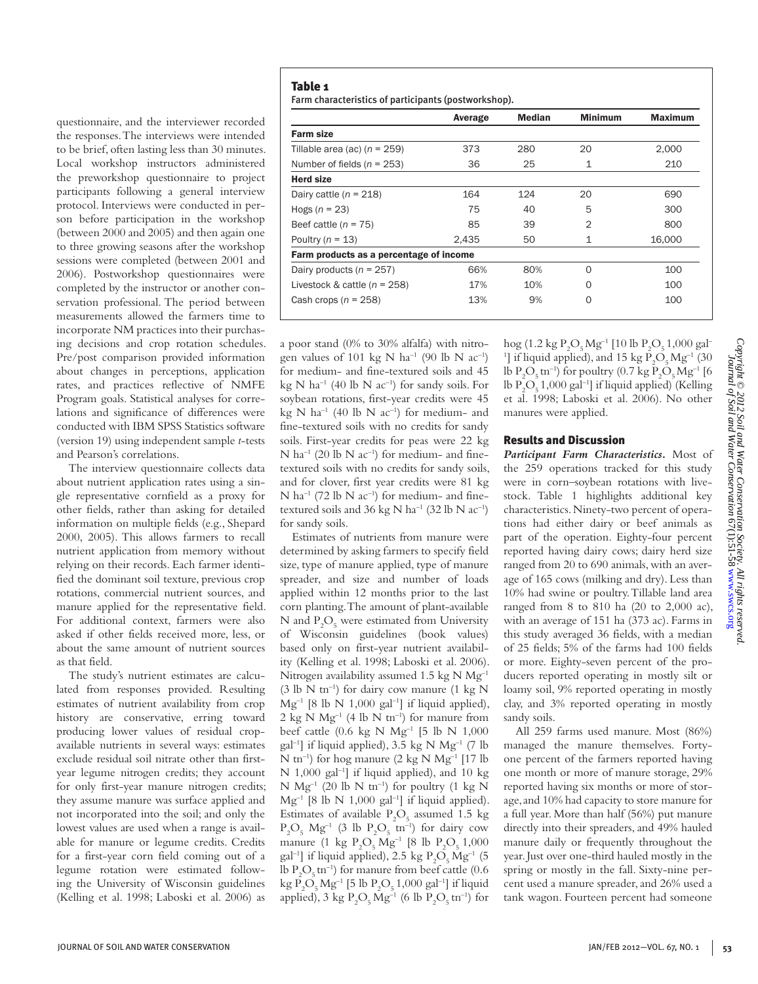questionnaire, and the interviewer recorded the responses. The interviews were intended to be brief, often lasting less than 30 minutes. Local workshop instructors administered the preworkshop questionnaire to project participants following a general interview protocol. Interviews were conducted in person before participation in the workshop (between 2000 and 2005) and then again one to three growing seasons after the workshop sessions were completed (between 2001 and 2006). Postworkshop questionnaires were completed by the instructor or another conservation professional. The period between measurements allowed the farmers time to incorporate NM practices into their purchasing decisions and crop rotation schedules. Pre/post comparison provided information about changes in perceptions, application rates, and practices reflective of NMFE Program goals. Statistical analyses for correlations and significance of differences were conducted with IBM SPSS Statistics software (version 19) using independent sample *t*-tests and Pearson's correlations.

The interview questionnaire collects data about nutrient application rates using a single representative cornfield as a proxy for other fields, rather than asking for detailed information on multiple fields (e.g., Shepard 2000, 2005). This allows farmers to recall nutrient application from memory without relying on their records. Each farmer identified the dominant soil texture, previous crop rotations, commercial nutrient sources, and manure applied for the representative field. For additional context, farmers were also asked if other fields received more, less, or about the same amount of nutrient sources as that field.

The study's nutrient estimates are calculated from responses provided. Resulting estimates of nutrient availability from crop history are conservative, erring toward producing lower values of residual cropavailable nutrients in several ways: estimates exclude residual soil nitrate other than firstyear legume nitrogen credits; they account for only first-year manure nitrogen credits; they assume manure was surface applied and not incorporated into the soil; and only the lowest values are used when a range is available for manure or legume credits. Credits for a first-year corn field coming out of a legume rotation were estimated following the University of Wisconsin guidelines (Kelling et al. 1998; Laboski et al. 2006) as

## Table 1 Farm characteristics of participants (postworkshop).

|                                         | Average | <b>Median</b> | <b>Minimum</b> | <b>Maximum</b> |
|-----------------------------------------|---------|---------------|----------------|----------------|
| <b>Farm size</b>                        |         |               |                |                |
| Tillable area (ac) ( $n = 259$ )        | 373     | 280           | 20             | 2,000          |
| Number of fields ( $n = 253$ )          | 36      | 25            | 1              | 210            |
| <b>Herd size</b>                        |         |               |                |                |
| Dairy cattle ( $n = 218$ )              | 164     | 124           | 20             | 690            |
| Hogs $(n = 23)$                         | 75      | 40            | 5              | 300            |
| Beef cattle $(n = 75)$                  | 85      | 39            | 2              | 800            |
| Poultry ( $n = 13$ )                    | 2.435   | 50            | 1              | 16.000         |
| Farm products as a percentage of income |         |               |                |                |
| Dairy products ( $n = 257$ )            | 66%     | 80%           | $\Omega$       | 100            |
| Livestock & cattle $(n = 258)$          | 17%     | 10%           | Ω              | 100            |
| Cash crops $(n = 258)$                  | 13%     | 9%            | O              | 100            |

a poor stand (0% to 30% alfalfa) with nitrogen values of 101 kg N ha<sup>-1</sup> (90 lb N ac<sup>-1</sup>) for medium- and fine-textured soils and 45 kg N ha<sup>-1</sup> (40 lb N ac<sup>-1</sup>) for sandy soils. For soybean rotations, first-year credits were 45 kg N  $ha^{-1}$  (40 lb N  $ac^{-1}$ ) for medium- and fine-textured soils with no credits for sandy soils. First-year credits for peas were 22 kg N ha<sup>-1</sup> (20 lb N ac<sup>-1</sup>) for medium- and finetextured soils with no credits for sandy soils, and for clover, first year credits were 81 kg  $N$  ha<sup>-1</sup> (72 lb N ac<sup>-1</sup>) for medium- and finetextured soils and 36 kg N ha<sup>-1</sup> (32 lb N ac<sup>-1</sup>) for sandy soils.

Estimates of nutrients from manure were determined by asking farmers to specify field size, type of manure applied, type of manure spreader, and size and number of loads applied within 12 months prior to the last corn planting. The amount of plant-available N and  $P_2O_5$  were estimated from University of Wisconsin guidelines (book values) based only on first-year nutrient availability (Kelling et al. 1998; Laboski et al. 2006). Nitrogen availability assumed 1.5 kg N  $Mg^{-1}$ (3 lb N tn<sup>-1</sup>) for dairy cow manure (1 kg N  $Mg^{-1}$  [8 lb N 1,000 gal<sup>-1</sup>] if liquid applied), 2 kg N  $Mg^{-1}$  (4 lb N tn<sup>-1</sup>) for manure from beef cattle  $(0.6 \text{ kg N} \text{ Mg}^{-1} [5 \text{ lb N} 1,000$ gal<sup>-1</sup>] if liquid applied), 3.5 kg N  $Mg^{-1}$  (7 lb N tn<sup>-1</sup>) for hog manure  $(2 \text{ kg N Mg}^{-1} [17 \text{ lb})$ N 1,000 gal<sup>-1</sup>] if liquid applied), and 10 kg N  $Mg^{-1}$  (20 lb N tn<sup>-1</sup>) for poultry (1 kg N  $Mg^{-1}$  [8 lb N 1,000 gal<sup>-1</sup>] if liquid applied). Estimates of available  $P_2O_5$  assumed 1.5 kg  $P_2O_5$  Mg<sup>-1</sup> (3 lb  $P_2O_5$  tn<sup>-1</sup>) for dairy cow manure (1 kg  $P_2O_5Mg^{-1}$  [8 lb  $P_2O_5 1,000$ gal<sup>-1</sup>] if liquid applied), 2.5 kg  $P_2O_5Mg^{-1}$  (5 lb  $P_2O_5$ tn<sup>-1</sup>) for manure from beef cattle (0.6  $\text{kg P}_2\text{O}_5\text{Mg}^{-1}$  [5 lb  $\text{P}_2\text{O}_5$  1,000 gal<sup>-1</sup>] if liquid applied),  $3 \text{ kg } P_2O_5 \text{ Mg}^{-1}$  (6 lb  $P_2O_5 \text{ tr}^{-1}$ ) for

hog (1.2 kg  $P_2O_5Mg^{-1}$  [10 lb  $P_2O_5$  1,000 gal<sup>-1</sup> <sup>1</sup>] if liquid applied), and 15 kg  $P_2O_5Mg^{-1}$  (30 lb  $P_2O_5$ tn<sup>-1</sup>) for poultry (0.7 kg  $P_2O_5Mg^{-1}$  [6 lb  $P_2O_5$  1,000 gal<sup>-1</sup>] if liquid applied) (Kelling et al. 1998; Laboski et al. 2006). No other manures were applied.

### Results and Discussion

*Participant Farm Characteristics.* Most of the 259 operations tracked for this study were in corn–soybean rotations with livestock. Table 1 highlights additional key characteristics. Ninety-two percent of operations had either dairy or beef animals as part of the operation. Eighty-four percent reported having dairy cows; dairy herd size ranged from 20 to 690 animals, with an average of 165 cows (milking and dry). Less than 10% had swine or poultry. Tillable land area ranged from 8 to 810 ha (20 to 2,000 ac), with an average of 151 ha (373 ac). Farms in this study averaged 36 fields, with a median of 25 fields; 5% of the farms had 100 fields or more. Eighty-seven percent of the producers reported operating in mostly silt or loamy soil, 9% reported operating in mostly clay, and 3% reported operating in mostly sandy soils.

All 259 farms used manure. Most (86%) managed the manure themselves. Fortyone percent of the farmers reported having one month or more of manure storage, 29% reported having six months or more of storage, and 10% had capacity to store manure for a full year. More than half (56%) put manure directly into their spreaders, and 49% hauled manure daily or frequently throughout the year. Just over one-third hauled mostly in the spring or mostly in the fall. Sixty-nine percent used a manure spreader, and 26% used a tank wagon. Fourteen percent had someone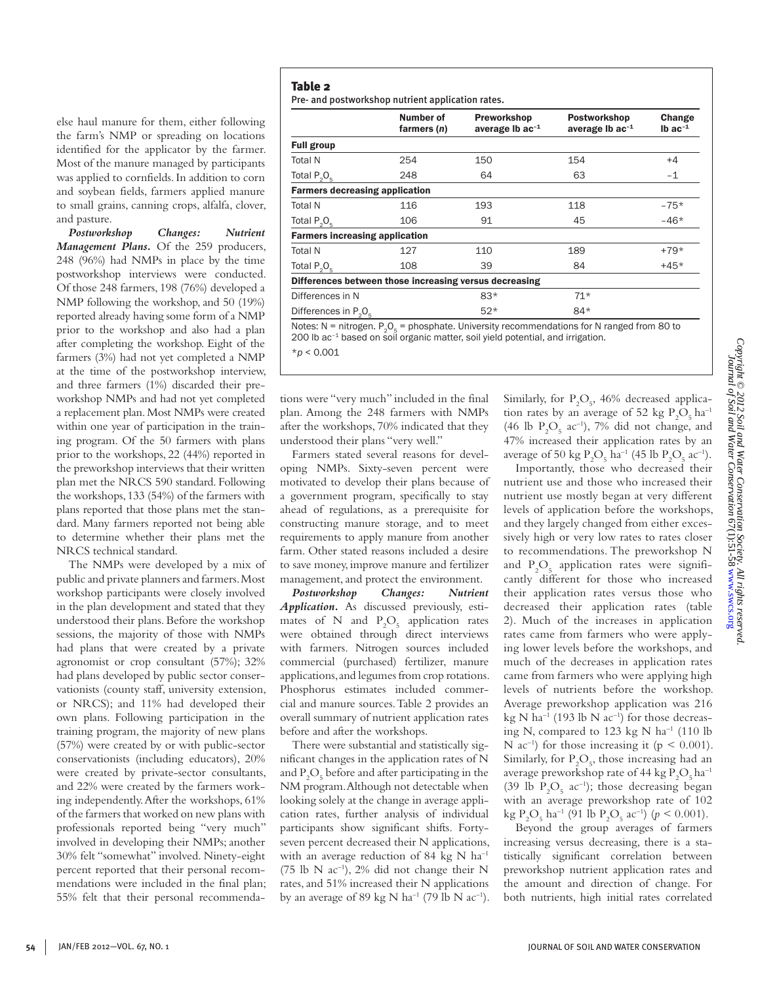else haul manure for them, either following the farm's NMP or spreading on locations identified for the applicator by the farmer. Most of the manure managed by participants was applied to cornfields. In addition to corn and soybean fields, farmers applied manure to small grains, canning crops, alfalfa, clover, and pasture.

*Postworkshop Changes: Nutrient Management Plans.* Of the 259 producers, 248 (96%) had NMPs in place by the time postworkshop interviews were conducted. Of those 248 farmers, 198 (76%) developed a NMP following the workshop, and 50 (19%) reported already having some form of a NMP prior to the workshop and also had a plan after completing the workshop. Eight of the farmers (3%) had not yet completed a NMP at the time of the postworkshop interview, and three farmers (1%) discarded their preworkshop NMPs and had not yet completed a replacement plan. Most NMPs were created within one year of participation in the training program. Of the 50 farmers with plans prior to the workshops, 22 (44%) reported in the preworkshop interviews that their written plan met the NRCS 590 standard. Following the workshops, 133 (54%) of the farmers with plans reported that those plans met the standard. Many farmers reported not being able to determine whether their plans met the NRCS technical standard.

The NMPs were developed by a mix of public and private planners and farmers. Most workshop participants were closely involved in the plan development and stated that they understood their plans. Before the workshop sessions, the majority of those with NMPs had plans that were created by a private agronomist or crop consultant (57%); 32% had plans developed by public sector conservationists (county staff, university extension, or NRCS); and 11% had developed their own plans. Following participation in the training program, the majority of new plans (57%) were created by or with public-sector conservationists (including educators), 20% were created by private-sector consultants, and 22% were created by the farmers working independently. After the workshops, 61% of the farmers that worked on new plans with professionals reported being "very much" involved in developing their NMPs; another 30% felt "somewhat" involved. Ninety-eight percent reported that their personal recommendations were included in the final plan; 55% felt that their personal recommenda-

# Table 2

Pre- and postworkshop nutrient application rates.

|                                                        | Number of<br>farmers (n) | <b>Preworkshop</b><br>average $lb$ ac <sup>-1</sup> | Postworkshop<br>average $lb$ ac <sup>-1</sup> | Change<br>$lb$ ac <sup>-1</sup> |
|--------------------------------------------------------|--------------------------|-----------------------------------------------------|-----------------------------------------------|---------------------------------|
| <b>Full group</b>                                      |                          |                                                     |                                               |                                 |
| Total N                                                | 254                      | 150                                                 | 154                                           | $+4$                            |
| Total $P_2O_{\epsilon}$                                | 248                      | 64                                                  | 63                                            | $-1$                            |
| <b>Farmers decreasing application</b>                  |                          |                                                     |                                               |                                 |
| <b>Total N</b>                                         | 116                      | 193                                                 | 118                                           | $-75*$                          |
| Total $P_{\alpha}O_{\epsilon}$                         | 106                      | 91                                                  | 45                                            | $-46*$                          |
| <b>Farmers increasing application</b>                  |                          |                                                     |                                               |                                 |
| <b>Total N</b>                                         | 127                      | 110                                                 | 189                                           | $+79*$                          |
| Total $P_{\alpha}O_{\epsilon}$                         | 108                      | 39                                                  | 84                                            | $+45*$                          |
| Differences between those increasing versus decreasing |                          |                                                     |                                               |                                 |
| Differences in N                                       |                          | $83*$                                               | $71*$                                         |                                 |
| Differences in D O                                     |                          | <b>50*</b>                                          | $Q/A*$                                        |                                 |

Differences in  $P_2O_5$  52\* 84\* Notes: N = nitrogen.  $P_2O_5$  = phosphate. University recommendations for N ranged from 80 to  $200$  lb ac<sup>-1</sup> based on soil organic matter, soil yield potential, and irrigation.

\**p* < 0.001

tions were "very much" included in the final plan. Among the 248 farmers with NMPs after the workshops, 70% indicated that they understood their plans "very well."

Farmers stated several reasons for developing NMPs. Sixty-seven percent were motivated to develop their plans because of a government program, specifically to stay ahead of regulations, as a prerequisite for constructing manure storage, and to meet requirements to apply manure from another farm. Other stated reasons included a desire to save money, improve manure and fertilizer management, and protect the environment.

*Postworkshop Changes: Nutrient Application.* As discussed previously, estimates of N and  $P_2O_5$  application rates were obtained through direct interviews with farmers. Nitrogen sources included commercial (purchased) fertilizer, manure applications, and legumes from crop rotations. Phosphorus estimates included commercial and manure sources. Table 2 provides an overall summary of nutrient application rates before and after the workshops.

There were substantial and statistically significant changes in the application rates of N and  $P_2O_5$  before and after participating in the NM program. Although not detectable when looking solely at the change in average application rates, further analysis of individual participants show significant shifts. Fortyseven percent decreased their N applications, with an average reduction of 84 kg N  $ha^{-1}$ (75 lb N ac<sup>-1</sup>), 2% did not change their N rates, and 51% increased their N applications by an average of 89 kg N ha<sup>-1</sup> (79 lb N ac<sup>-1</sup>).

Similarly, for  $P_2O_5$ , 46% decreased application rates by an average of 52 kg  $P_2O_5$  ha<sup>-1</sup> (46 lb  $P_2O_5$  ac<sup>-1</sup>), 7% did not change, and 47% increased their application rates by an average of 50 kg  $P_2O_5$  ha<sup>-1</sup> (45 lb  $P_2O_5$  ac<sup>-1</sup>).

Importantly, those who decreased their nutrient use and those who increased their nutrient use mostly began at very different levels of application before the workshops, and they largely changed from either excessively high or very low rates to rates closer to recommendations. The preworkshop N and P<sub>2</sub>O<sub>5</sub> application rates were significantly different for those who increased their application rates versus those who decreased their application rates (table 2). Much of the increases in application rates came from farmers who were applying lower levels before the workshops, and much of the decreases in application rates came from farmers who were applying high levels of nutrients before the workshop. Average preworkshop application was 216 kg N ha<sup>-1</sup> (193 lb N ac<sup>-1</sup>) for those decreasing N, compared to 123 kg N ha<sup>-1</sup> (110 lb N ac<sup>-1</sup>) for those increasing it ( $p < 0.001$ ). Similarly, for  $P_2O_5$ , those increasing had an average preworkshop rate of 44 kg  $P_2O_5$  ha<sup>-1</sup> (39 lb  $P_2O_5$  ac<sup>-1</sup>); those decreasing began with an average preworkshop rate of 102  $\text{kg } P_2O_5 \text{ ha}^{-1}$  (91 lb  $P_2O_5 \text{ ac}^{-1}$ ) ( $p < 0.001$ ).

Beyond the group averages of farmers increasing versus decreasing, there is a statistically significant correlation between preworkshop nutrient application rates and the amount and direction of change. For both nutrients, high initial rates correlated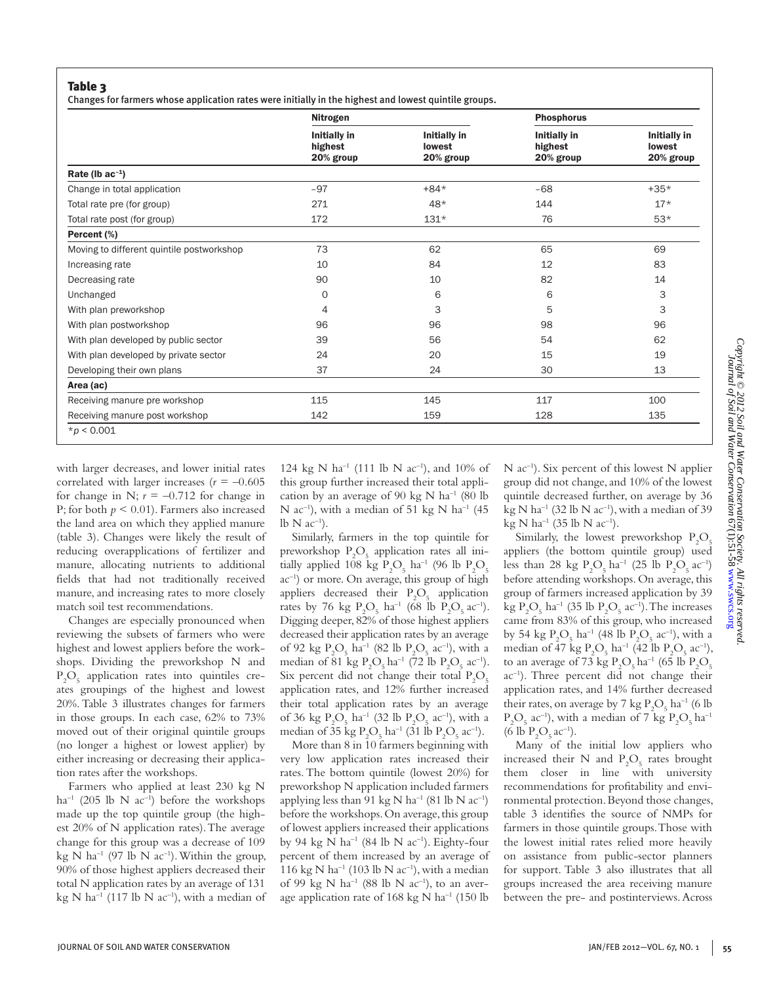Changes for farmers whose application rates were initially in the highest and lowest quintile groups.

|                                           | Nitrogen                             |                                     | <b>Phosphorus</b>                    |                                                   |
|-------------------------------------------|--------------------------------------|-------------------------------------|--------------------------------------|---------------------------------------------------|
|                                           | Initially in<br>highest<br>20% group | Initially in<br>lowest<br>20% group | Initially in<br>highest<br>20% group | <b>Initially in</b><br><b>lowest</b><br>20% group |
| Rate (lb $ac^{-1}$ )                      |                                      |                                     |                                      |                                                   |
| Change in total application               | $-97$                                | $+84*$                              | $-68$                                | $+35*$                                            |
| Total rate pre (for group)                | 271                                  | 48*                                 | 144                                  | $17*$                                             |
| Total rate post (for group)               | 172                                  | $131*$                              | 76                                   | $53*$                                             |
| Percent (%)                               |                                      |                                     |                                      |                                                   |
| Moving to different quintile postworkshop | 73                                   | 62                                  | 65                                   | 69                                                |
| Increasing rate                           | 10                                   | 84                                  | 12                                   | 83                                                |
| Decreasing rate                           | 90                                   | 10                                  | 82                                   | 14                                                |
| Unchanged                                 | 0                                    | 6                                   | 6                                    | 3                                                 |
| With plan preworkshop                     | 4                                    | 3                                   | 5                                    | 3                                                 |
| With plan postworkshop                    | 96                                   | 96                                  | 98                                   | 96                                                |
| With plan developed by public sector      | 39                                   | 56                                  | 54                                   | 62                                                |
| With plan developed by private sector     | 24                                   | 20                                  | 15                                   | 19                                                |
| Developing their own plans                | 37                                   | 24                                  | 30                                   | 13                                                |
| Area (ac)                                 |                                      |                                     |                                      |                                                   |
| Receiving manure pre workshop             | 115                                  | 145                                 | 117                                  | 100                                               |
| Receiving manure post workshop            | 142                                  | 159                                 | 128                                  | 135                                               |
| $*_{p}$ < 0.001                           |                                      |                                     |                                      |                                                   |

with larger decreases, and lower initial rates correlated with larger increases  $(r = -0.605)$ for change in N;  $r = -0.712$  for change in P; for both *p* < 0.01). Farmers also increased the land area on which they applied manure (table 3). Changes were likely the result of reducing overapplications of fertilizer and manure, allocating nutrients to additional fields that had not traditionally received manure, and increasing rates to more closely match soil test recommendations.

Changes are especially pronounced when reviewing the subsets of farmers who were highest and lowest appliers before the workshops. Dividing the preworkshop N and P2 O5 application rates into quintiles creates groupings of the highest and lowest 20%. Table 3 illustrates changes for farmers in those groups. In each case, 62% to 73% moved out of their original quintile groups (no longer a highest or lowest applier) by either increasing or decreasing their application rates after the workshops.

Farmers who applied at least 230 kg N ha<sup>-1</sup> (205 lb N ac<sup>-1</sup>) before the workshops made up the top quintile group (the highest 20% of N application rates). The average change for this group was a decrease of 109 kg N ha<sup>-1</sup> (97 lb N ac<sup>-1</sup>). Within the group, 90% of those highest appliers decreased their total N application rates by an average of 131 kg N ha<sup>-1</sup> (117 lb N ac<sup>-1</sup>), with a median of 124 kg N ha<sup>-1</sup> (111 lb N ac<sup>-1</sup>), and 10% of this group further increased their total application by an average of 90 kg N ha<sup>-1</sup> (80 lb N ac<sup>-1</sup>), with a median of 51 kg N ha<sup>-1</sup> (45 lb  $N$   $ac^{-1}$ ).

Similarly, farmers in the top quintile for preworkshop  $P_2O_5$  application rates all initially applied 108 kg  $P_2O_5$  ha<sup>-1</sup> (96 lb  $P_2O_5$ ac–1) or more. On average, this group of high appliers decreased their  $P_2O_5$  application rates by 76 kg  $P_2O_5$  ha<sup>-1</sup> (68 lb  $P_2O_5$  ac<sup>-1</sup>). Digging deeper, 82% of those highest appliers decreased their application rates by an average of 92 kg  $P_2O_5$  ha<sup>-1</sup> (82 lb  $P_2O_5$  ac<sup>-1</sup>), with a median of 81 kg  $P_2O_5$  ha<sup>-1</sup> (72 lb  $P_2O_5$  ac<sup>-1</sup>). Six percent did not change their total  $P_2O_5$ application rates, and 12% further increased their total application rates by an average of 36 kg  $P_2O_5$  ha<sup>-1</sup> (32 lb  $P_2O_5$  ac<sup>-1</sup>), with a median of 35 kg  $P_2O_5$  ha<sup>-1</sup> (31 lb  $P_2O_5$  ac<sup>-1</sup>).

More than 8 in 10 farmers beginning with very low application rates increased their rates. The bottom quintile (lowest 20%) for preworkshop N application included farmers applying less than 91 kg N ha<sup>-1</sup> (81 lb N ac<sup>-1</sup>) before the workshops. On average, this group of lowest appliers increased their applications by 94 kg N ha<sup>-1</sup> (84 lb N ac<sup>-1</sup>). Eighty-four percent of them increased by an average of 116 kg N ha<sup>-1</sup> (103 lb N ac<sup>-1</sup>), with a median of 99 kg N ha<sup>-1</sup> (88 lb N ac<sup>-1</sup>), to an average application rate of 168 kg N ha<sup>-1</sup> (150 lb

 $N$  ac<sup>-1</sup>). Six percent of this lowest N applier group did not change, and 10% of the lowest quintile decreased further, on average by 36 kg N ha<sup>-1</sup> (32 lb N ac<sup>-1</sup>), with a median of 39 kg N ha<sup>-1</sup> (35 lb N ac<sup>-1</sup>).

Similarly, the lowest preworkshop  $P_2O_5$ appliers (the bottom quintile group) used less than 28 kg  $P_2O_5$  ha<sup>-1</sup> (25 lb  $P_2O_5$  ac<sup>-1</sup>) before attending workshops. On average, this group of farmers increased application by 39 kg  $P_2O_5$  ha<sup>-1</sup> (35 lb  $P_2O_5$  ac<sup>-1</sup>). The increases came from 83% of this group, who increased by 54 kg  $P_2O_5$  ha<sup>-1</sup> (48 lb  $P_2O_5$  ac<sup>-1</sup>), with a median of 47 kg  $P_2O_5$  ha<sup>-1</sup> (42 lb  $P_2O_5$  ac<sup>-1</sup>), to an average of 73 kg  $P_2O_5$  ha<sup>-1</sup> (65 lb  $P_2O_5$ ac–1). Three percent did not change their application rates, and 14% further decreased their rates, on average by 7 kg  $P_2O_5$  ha<sup>-1</sup> (6 lb  $P_2O_5$  ac<sup>-1</sup>), with a median of 7 kg  $P_2O_5$  ha<sup>-1</sup> (6 lb  $P_2O_5$  ac<sup>-1</sup>).

Many of the initial low appliers who increased their N and  $P_2O_5$  rates brought them closer in line with university recommendations for profitability and environmental protection. Beyond those changes, table 3 identifies the source of NMPs for farmers in those quintile groups. Those with the lowest initial rates relied more heavily on assistance from public-sector planners for support. Table 3 also illustrates that all groups increased the area receiving manure between the pre- and postinterviews. Across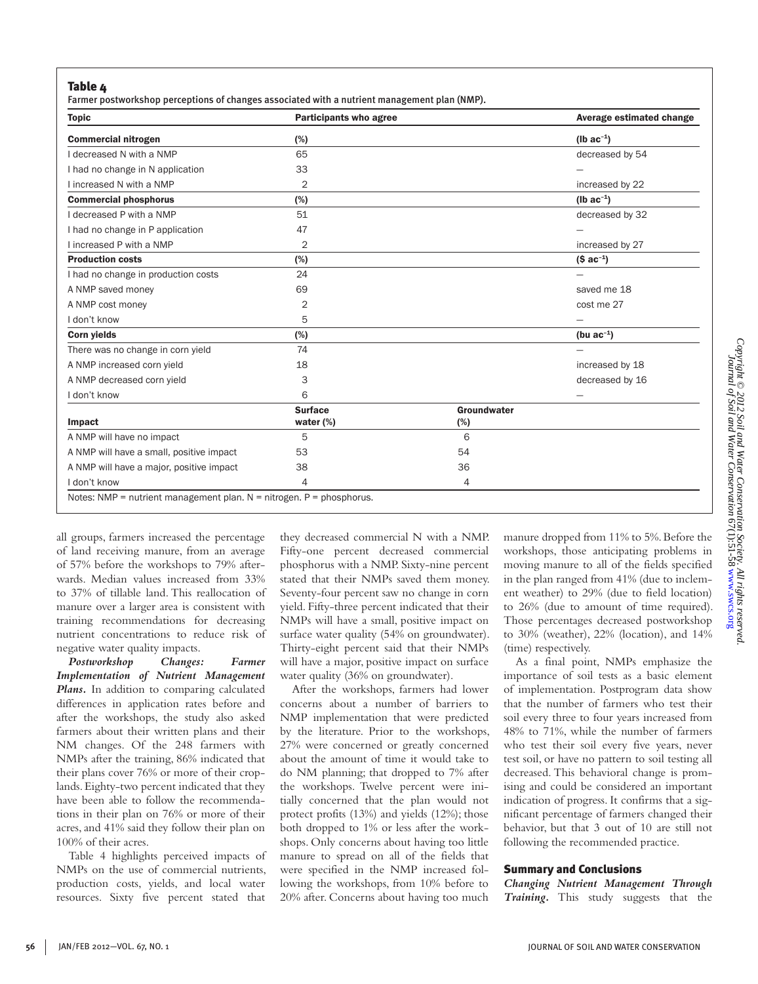### Table 4

Farmer postworkshop perceptions of changes associated with a nutrient management plan (NMP).

| <b>Topic</b>                             | <b>Participants who agree</b>  |                    | Average estimated change |  |
|------------------------------------------|--------------------------------|--------------------|--------------------------|--|
| <b>Commercial nitrogen</b>               | (%)                            |                    | $(lb \text{ ac}^{-1})$   |  |
| I decreased N with a NMP                 | 65                             |                    | decreased by 54          |  |
| I had no change in N application         | 33                             |                    |                          |  |
| I increased N with a NMP                 | 2                              |                    | increased by 22          |  |
| <b>Commercial phosphorus</b>             | (%)                            |                    | $(lb \text{ ac}^{-1})$   |  |
| I decreased P with a NMP                 | 51                             |                    | decreased by 32          |  |
| I had no change in P application         | 47                             |                    |                          |  |
| I increased P with a NMP                 | 2                              |                    | increased by 27          |  |
| <b>Production costs</b>                  | (%)                            |                    | $(S \text{ ac}^{-1})$    |  |
| I had no change in production costs      | 24                             |                    |                          |  |
| A NMP saved money                        | 69                             |                    | saved me 18              |  |
| A NMP cost money                         | $\overline{2}$                 |                    | cost me 27               |  |
| I don't know                             | 5                              |                    |                          |  |
| <b>Corn yields</b>                       | (%)                            |                    | (bu $ac^{-1}$ )          |  |
| There was no change in corn yield        | 74                             |                    |                          |  |
| A NMP increased corn yield               | 18                             |                    | increased by 18          |  |
| A NMP decreased corn yield               | 3                              |                    | decreased by 16          |  |
| I don't know                             | 6                              |                    |                          |  |
| Impact                                   | <b>Surface</b><br>water $(\%)$ | Groundwater<br>(%) |                          |  |
| A NMP will have no impact                | 5                              | 6                  |                          |  |
| A NMP will have a small, positive impact | 53                             | 54                 |                          |  |
| A NMP will have a major, positive impact | 38                             | 36                 |                          |  |
| I don't know                             | 4                              | 4                  |                          |  |

all groups, farmers increased the percentage of land receiving manure, from an average of 57% before the workshops to 79% afterwards. Median values increased from 33% to 37% of tillable land. This reallocation of manure over a larger area is consistent with training recommendations for decreasing nutrient concentrations to reduce risk of negative water quality impacts.

*Postworkshop Changes: Farmer Implementation of Nutrient Management Plans.* In addition to comparing calculated differences in application rates before and after the workshops, the study also asked farmers about their written plans and their NM changes. Of the 248 farmers with NMPs after the training, 86% indicated that their plans cover 76% or more of their croplands. Eighty-two percent indicated that they have been able to follow the recommendations in their plan on 76% or more of their acres, and 41% said they follow their plan on 100% of their acres.

Table 4 highlights perceived impacts of NMPs on the use of commercial nutrients, production costs, yields, and local water resources. Sixty five percent stated that

they decreased commercial N with a NMP. Fifty-one percent decreased commercial phosphorus with a NMP. Sixty-nine percent stated that their NMPs saved them money. Seventy-four percent saw no change in corn yield. Fifty-three percent indicated that their NMPs will have a small, positive impact on surface water quality (54% on groundwater). Thirty-eight percent said that their NMPs will have a major, positive impact on surface water quality (36% on groundwater).

After the workshops, farmers had lower concerns about a number of barriers to NMP implementation that were predicted by the literature. Prior to the workshops, 27% were concerned or greatly concerned about the amount of time it would take to do NM planning; that dropped to 7% after the workshops. Twelve percent were initially concerned that the plan would not protect profits (13%) and yields (12%); those both dropped to 1% or less after the workshops. Only concerns about having too little manure to spread on all of the fields that were specified in the NMP increased following the workshops, from 10% before to 20% after. Concerns about having too much

manure dropped from 11% to 5%. Before the workshops, those anticipating problems in moving manure to all of the fields specified in the plan ranged from 41% (due to inclement weather) to 29% (due to field location) to 26% (due to amount of time required). Those percentages decreased postworkshop to 30% (weather), 22% (location), and 14% (time) respectively.

As a final point, NMPs emphasize the importance of soil tests as a basic element of implementation. Postprogram data show that the number of farmers who test their soil every three to four years increased from 48% to 71%, while the number of farmers who test their soil every five years, never test soil, or have no pattern to soil testing all decreased. This behavioral change is promising and could be considered an important indication of progress. It confirms that a significant percentage of farmers changed their behavior, but that 3 out of 10 are still not following the recommended practice.

### Summary and Conclusions

*Changing Nutrient Management Through Training.* This study suggests that the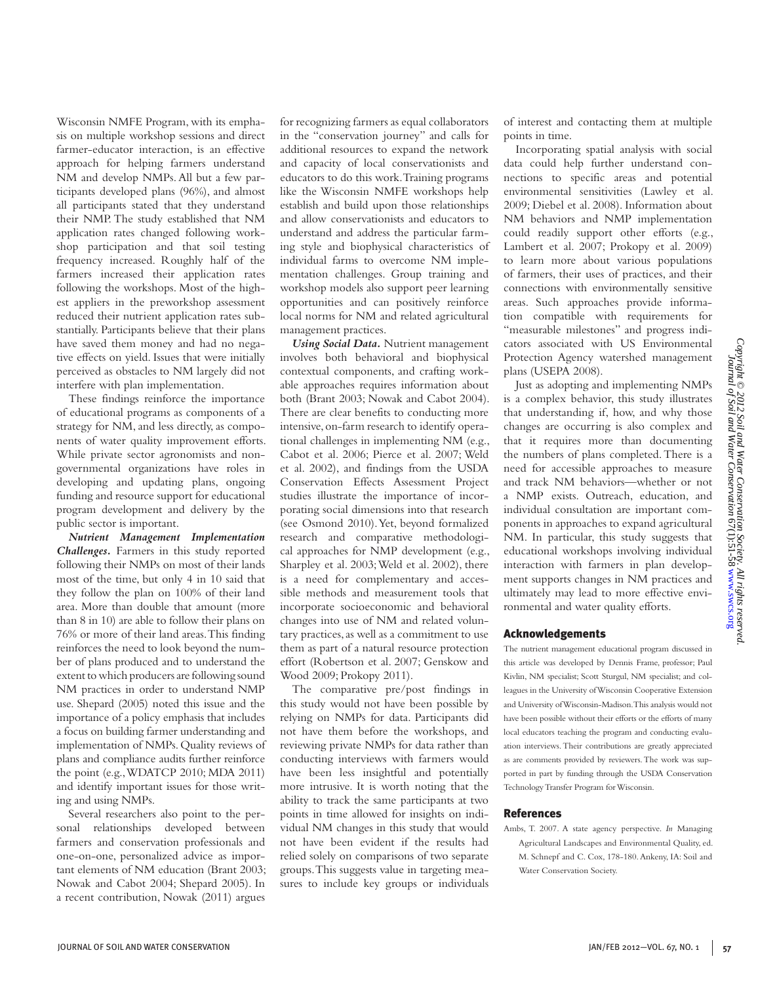Wisconsin NMFE Program, with its emphasis on multiple workshop sessions and direct farmer-educator interaction, is an effective approach for helping farmers understand NM and develop NMPs. All but a few participants developed plans (96%), and almost all participants stated that they understand their NMP. The study established that NM application rates changed following workshop participation and that soil testing frequency increased. Roughly half of the farmers increased their application rates following the workshops. Most of the highest appliers in the preworkshop assessment reduced their nutrient application rates substantially. Participants believe that their plans have saved them money and had no negative effects on yield. Issues that were initially perceived as obstacles to NM largely did not interfere with plan implementation.

These findings reinforce the importance of educational programs as components of a strategy for NM, and less directly, as components of water quality improvement efforts. While private sector agronomists and nongovernmental organizations have roles in developing and updating plans, ongoing funding and resource support for educational program development and delivery by the public sector is important.

*Nutrient Management Implementation Challenges.* Farmers in this study reported following their NMPs on most of their lands most of the time, but only 4 in 10 said that they follow the plan on 100% of their land area. More than double that amount (more than 8 in 10) are able to follow their plans on 76% or more of their land areas. This finding reinforces the need to look beyond the number of plans produced and to understand the extent to which producers are following sound NM practices in order to understand NMP use. Shepard (2005) noted this issue and the importance of a policy emphasis that includes a focus on building farmer understanding and implementation of NMPs. Quality reviews of plans and compliance audits further reinforce the point (e.g., WDATCP 2010; MDA 2011) and identify important issues for those writing and using NMPs.

Several researchers also point to the personal relationships developed between farmers and conservation professionals and one-on-one, personalized advice as important elements of NM education (Brant 2003; Nowak and Cabot 2004; Shepard 2005). In a recent contribution, Nowak (2011) argues

for recognizing farmers as equal collaborators in the "conservation journey" and calls for additional resources to expand the network and capacity of local conservationists and educators to do this work. Training programs like the Wisconsin NMFE workshops help establish and build upon those relationships and allow conservationists and educators to understand and address the particular farming style and biophysical characteristics of individual farms to overcome NM implementation challenges. Group training and workshop models also support peer learning opportunities and can positively reinforce local norms for NM and related agricultural management practices.

*Using Social Data.* Nutrient management involves both behavioral and biophysical contextual components, and crafting workable approaches requires information about both (Brant 2003; Nowak and Cabot 2004). There are clear benefits to conducting more intensive, on-farm research to identify operational challenges in implementing NM (e.g., Cabot et al. 2006; Pierce et al. 2007; Weld et al. 2002), and findings from the USDA Conservation Effects Assessment Project studies illustrate the importance of incorporating social dimensions into that research (see Osmond 2010). Yet, beyond formalized research and comparative methodological approaches for NMP development (e.g., Sharpley et al. 2003; Weld et al. 2002), there is a need for complementary and accessible methods and measurement tools that incorporate socioeconomic and behavioral changes into use of NM and related voluntary practices, as well as a commitment to use them as part of a natural resource protection effort (Robertson et al. 2007; Genskow and Wood 2009; Prokopy 2011).

The comparative pre/post findings in this study would not have been possible by relying on NMPs for data. Participants did not have them before the workshops, and reviewing private NMPs for data rather than conducting interviews with farmers would have been less insightful and potentially more intrusive. It is worth noting that the ability to track the same participants at two points in time allowed for insights on individual NM changes in this study that would not have been evident if the results had relied solely on comparisons of two separate groups. This suggests value in targeting measures to include key groups or individuals

of interest and contacting them at multiple points in time.

Incorporating spatial analysis with social data could help further understand connections to specific areas and potential environmental sensitivities (Lawley et al. 2009; Diebel et al. 2008). Information about NM behaviors and NMP implementation could readily support other efforts (e.g., Lambert et al. 2007; Prokopy et al. 2009) to learn more about various populations of farmers, their uses of practices, and their connections with environmentally sensitive areas. Such approaches provide information compatible with requirements for "measurable milestones" and progress indicators associated with US Environmental Protection Agency watershed management plans (USEPA 2008).

Just as adopting and implementing NMPs is a complex behavior, this study illustrates that understanding if, how, and why those changes are occurring is also complex and that it requires more than documenting the numbers of plans completed. There is a need for accessible approaches to measure and track NM behaviors—whether or not a NMP exists. Outreach, education, and individual consultation are important components in approaches to expand agricultural NM. In particular, this study suggests that educational workshops involving individual interaction with farmers in plan development supports changes in NM practices and ultimately may lead to more effective environmental and water quality efforts.

### Acknowledgements

The nutrient management educational program discussed in this article was developed by Dennis Frame, professor; Paul Kivlin, NM specialist; Scott Sturgul, NM specialist; and colleagues in the University of Wisconsin Cooperative Extension and University of Wisconsin-Madison. This analysis would not have been possible without their efforts or the efforts of many local educators teaching the program and conducting evaluation interviews. Their contributions are greatly appreciated as are comments provided by reviewers. The work was supported in part by funding through the USDA Conservation Technology Transfer Program for Wisconsin.

### References

Ambs, T. 2007. A state agency perspective. *In* Managing Agricultural Landscapes and Environmental Quality, ed. M. Schnepf and C. Cox, 178-180. Ankeny, IA: Soil and Water Conservation Society.